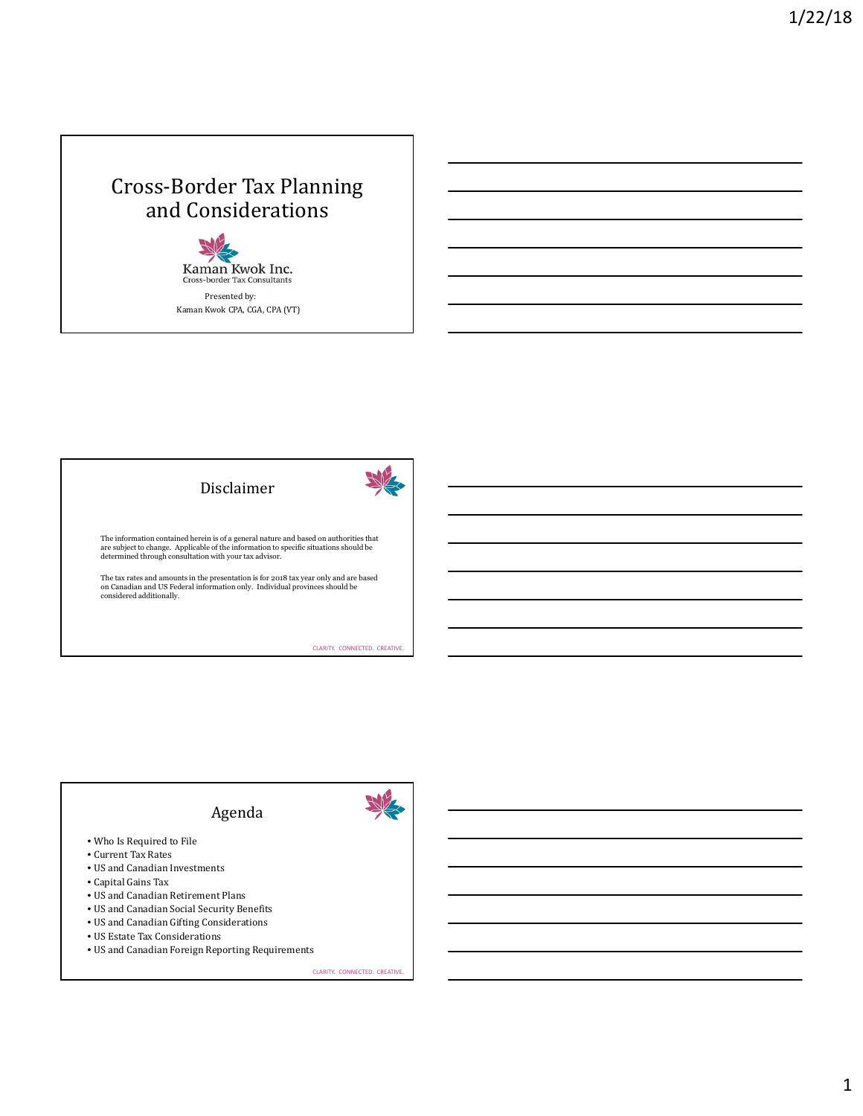## Cross-Border Tax Planning and Considerations

Kaman Kwok Inc.<br>Cross-border Tax Consultants Presented by: Kaman Kwok CPA, CGA, CPA (VT)





The information contained herein is of a general nature and based on authorities that<br>are subject to change. Applicable of the information to specific situations should be<br>determined through consultation with your tax advi

The tax rates and amounts in the presentation is for 2018 tax year only and are based on Canadian and US Federal information only. Individual provinces should be considered additionally.

CLARITY. CONNECTED. CREATIVE.

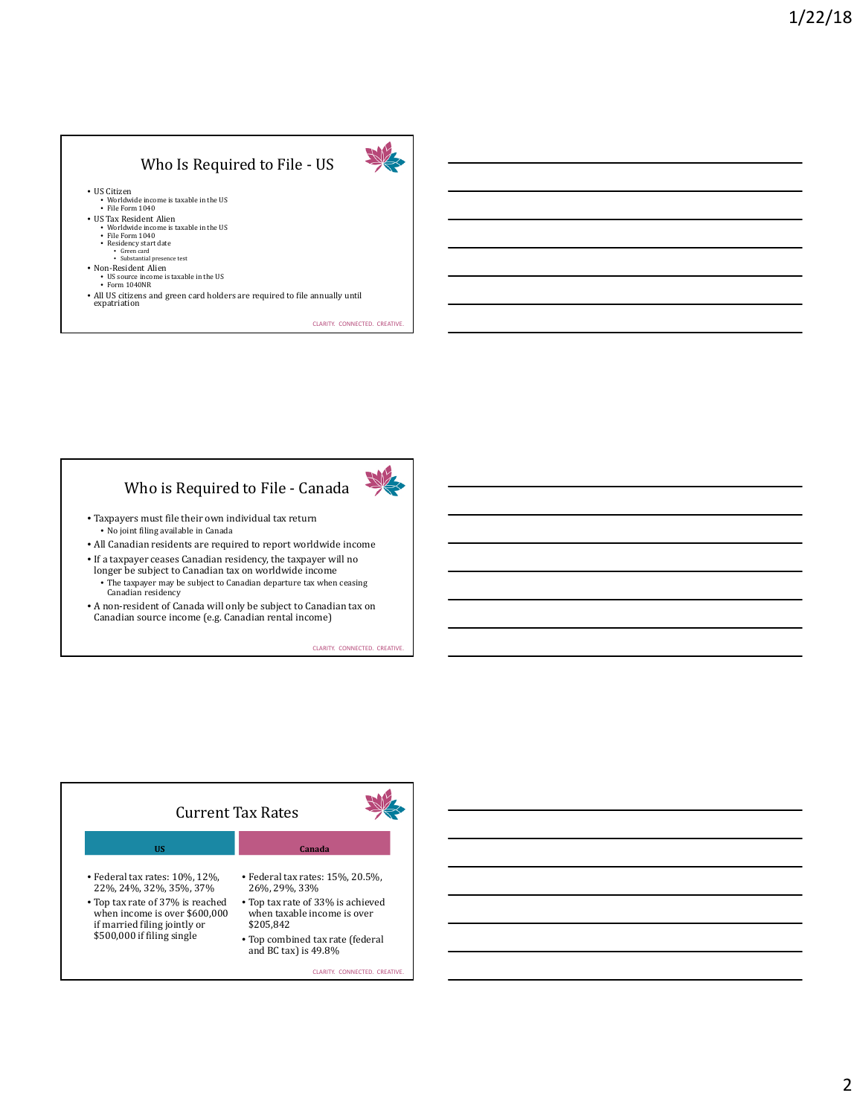## Who Is Required to File - US



• US Citizen • Worldwide income is taxable in the US • File Form 1040

- US Tax Resident Alien
	- Worldwide income is taxable in the US File Form 1040
	-
	- Residency start date Green card Substantial presence test
- Non-Resident Alien
	- US source income is taxable in the US Form 1040NR
	-
- All US citizens and green card holders are required to file annually until expatriation

CLARITY. CONNECTED. CREATIVE.

## Who is Required to File - Canada



- Taxpayers must file their own individual tax return • No joint filing available in Canada
- All Canadian residents are required to report worldwide income
- If a taxpayer ceases Canadian residency, the taxpayer will no longer be subject to Canadian tax on worldwide income
	- The taxpayer may be subject to Canadian departure tax when ceasing Canadian residency
- A non-resident of Canada will only be subject to Canadian tax on Canadian source income (e.g. Canadian rental income)

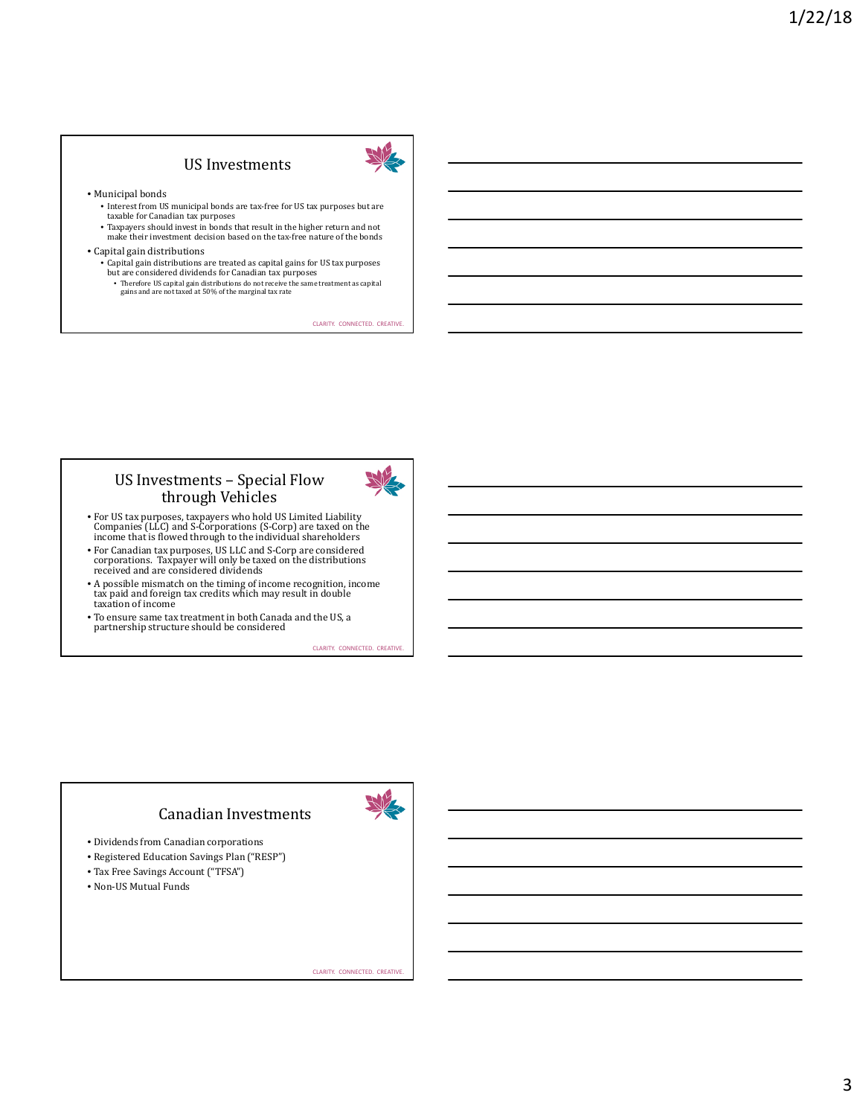## US Investments



#### • Municipal bonds

- Interest from US municipal bonds are tax-free for US tax purposes but are taxable for Canadian tax purposes
- Taxpayers should invest in bonds that result in the higher return and not
- make their investment decision based on the tax-free nature of the bonds
- Capital gain distributions
	- Capital gain distributions are treated as capital gains for US tax purposes but are considered dividends for Canadian tax purposes
		- Therefore US capital gain distributions do not receive the same treatment as capital gains and are not taxed at 50% of the marginal tax rate

CLARITY. CONNECTED. CREATIVE.

### US Investments – Special Flow through Vehicles



- For US tax purposes, taxpayers who hold US Limited Liability Companies (LLC) and S-Corporations (S-Corp) are taxed on the income that is flowed through to the individual shareholders
- For Canadian tax purposes, US LLC and S-Corp are considered corporations. Taxpayer will only be taxed on the distributions received and are considered dividends
- A possible mismatch on the timing of income recognition, income tax paid and foreign tax credits which may result in double taxation of income
- To ensure same tax treatment in both Canada and the US, a partnership structure should be considered

CLARITY. CONNECTED. CREATIVE.

## Canadian Investments

- Dividends from Canadian corporations
- Registered Education Savings Plan ("RESP")
- Tax Free Savings Account ("TFSA")
- Non-US Mutual Funds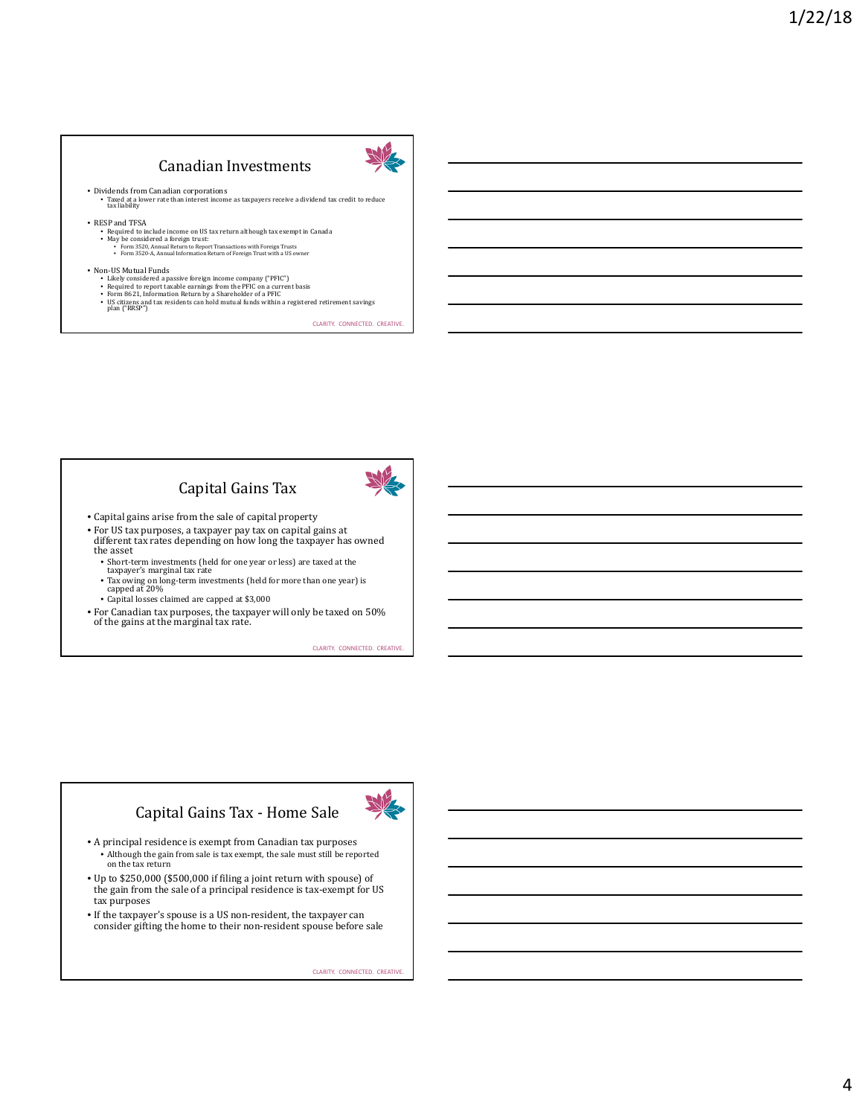## Canadian Investments



• Dividends from Canadian corporations • Taxed at a lower rate than interest income as taxpayers receive a dividend tax credit to reduce tax liability

• RESP and TFSA

- Required to include income on US tax return although tax exempt in Canada
- May be considered a foreign trust: Form 3520, Annual Return to Report Transactions with Foreign Trusts Form 3520-A, Annual Information Return of Foreign Trust with a US owner
- 
- -
- Non-US Mutual Funds<br>• Likely considered a passive foreign income company ("PFIC")<br>• Required to report taxable earnings from the PFIC on a current basis<br>• Form 8621, Information Return by a Shareholder of a PFIC<br>• US cit
	-

CLARITY. CONNECTED. CREATIVE.

## Capital Gains Tax



- Capital gains arise from the sale of capital property
- For US tax purposes, a taxpayer pay tax on capital gains at different tax rates depending on how long the taxpayer has owned the asset
	- Short-term investments (held for one year or less) are taxed at the taxpayer's marginal tax rate
	- Tax owing on long-term investments (held for more than one year) is capped at 20%
	-
	- Capital losses claimed are capped at \$3,000
- For Canadian tax purposes, the taxpayer will only be taxed on 50% of the gains at the marginal tax rate.

CLARITY. CONNECTED. CREATIVE.

## Capital Gains Tax - Home Sale



- A principal residence is exempt from Canadian tax purposes • Although the gain from sale is tax exempt, the sale must still be reported on the tax return
- Up to \$250,000 (\$500,000 if filing a joint return with spouse) of the gain from the sale of a principal residence is tax-exempt for US tax purposes
- If the taxpayer's spouse is a US non-resident, the taxpayer can consider gifting the home to their non-resident spouse before sale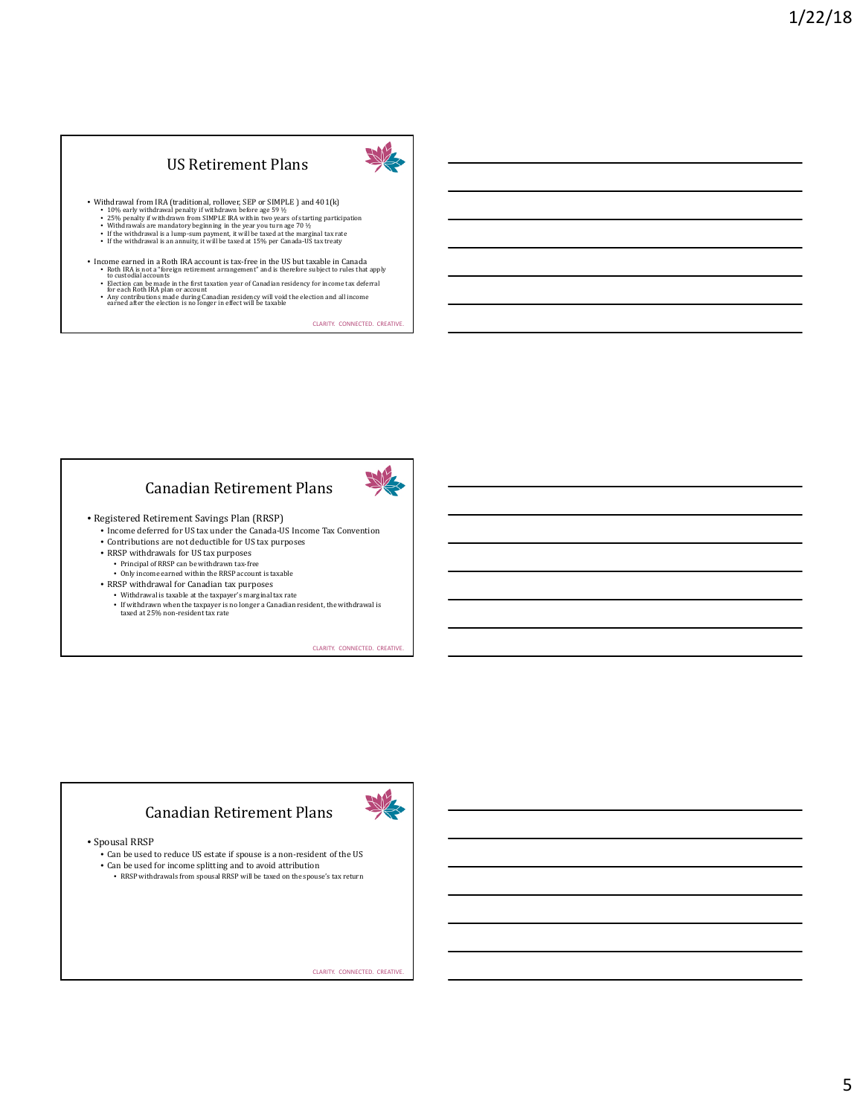## US Retirement Plans



• With<br>drawal from IRA (traditional, rollover, SEP or SIMPLE ) and 401(k)<br>• 10% early with<br>drawal penaliy if with<br>drawn before age 59  $\%$  early straing participation<br>• Z5% penalty if with<br>drawn from SIMPLE IRA within two

- 
- 
- 

• Income earned in a Roth IRA account is tax-free in the US but taxable in Canada • Roth IRA is not a "foreign retirement arrangement" and is therefore subject to rules that apply to custodial accounts

- 
- Election can be made in the first taxation year of Canadian residency for income tax deferral<br>• Any contributions made during Canadian residency will void the election and all income<br>• anned after the election is no long

CLARITY. CONNECTED. CREATIVE.

## Canadian Retirement Plans



• Registered Retirement Savings Plan (RRSP)

- Income deferred for US tax under the Canada-US Income Tax Convention
- Contributions are not deductible for US tax purposes
- RRSP withdrawals for US tax purposes
	- Principal of RRSP can be withdrawn tax-free Only income earned within the RRSP account is taxable
- RRSP withdrawal for Canadian tax purposes
- Withdrawal is taxable at the taxpayer's marginal tax rate
- If withdrawn when the taxpayer is no longer a Canadian resident, the withdrawal is taxed at 25% non-resident tax rate
	-

CLARITY. CONNECTED. CREATIVE.

#### Canadian Retirement Plans



• Spousal RRSP

- Can be used to reduce US estate if spouse is a non-resident of the US
- Can be used for income splitting and to avoid attribution
- RRSP withdrawals from spousal RRSP will be taxed on the spouse's tax return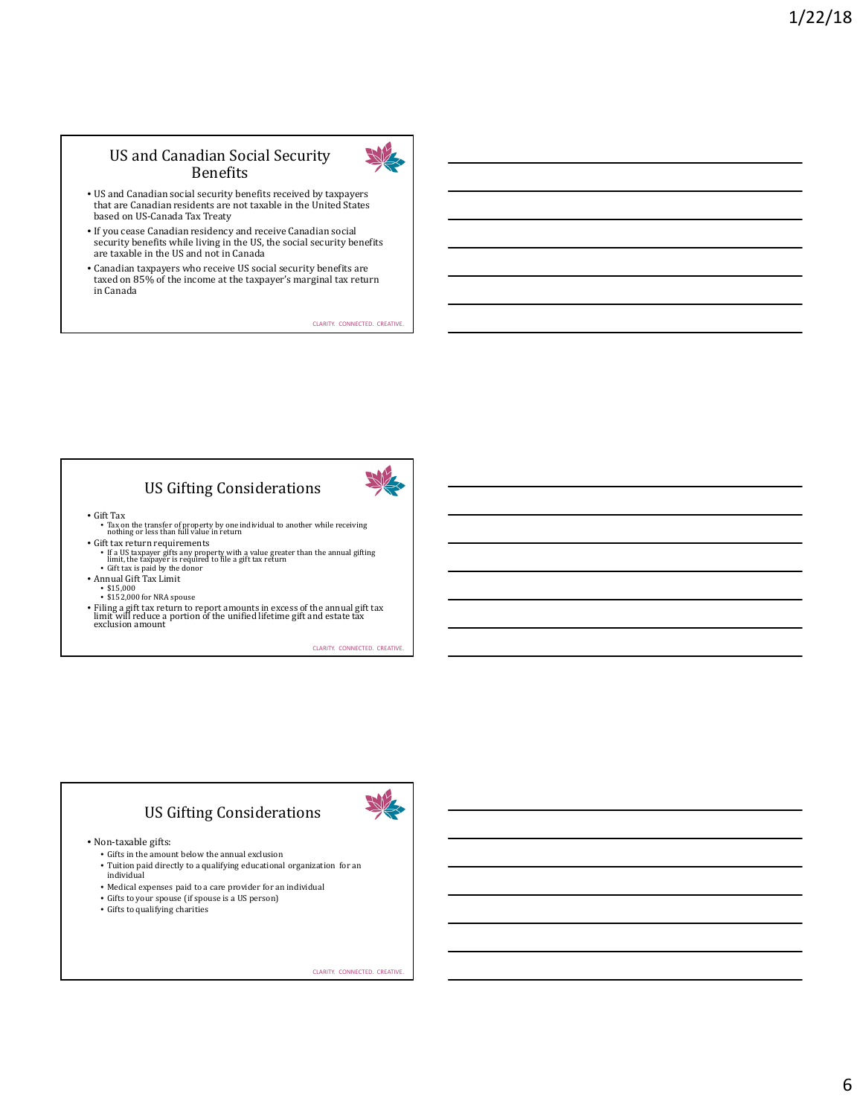## US and Canadian Social Security Benefits



- US and Canadian social security benefits received by taxpayers that are Canadian residents are not taxable in the United States based on US-Canada Tax Treaty
- If you cease Canadian residency and receive Canadian social security benefits while living in the US, the social security benefits are taxable in the US and not in Canada
- Canadian taxpayers who receive US social security benefits are taxed on 85% of the income at the taxpayer's marginal tax return in Canada

CLARITY. CONNECTED. CREATIVE.

## US Gifting Considerations



- Gift Tax
- Tax on the transfer of property by one individual to another while receiving nothing or less than full value in return • Gift tax return requirements
- If a US taxpayer gifts any property with a value greater than the annual gifting<br>limit, the taxpayer is required to file a gift tax return<br>• Gift tax is paid by the donor
- 
- 
- Annual Gift Tax Limit \$15,000 \$152,000 for NRA spouse
- 
- Filing a gift tax return to report amounts in excess of the annual gift tax limit will reduce a portion of the unified lifetime gift and estate tax exclusion amount

CLARITY. CONNECTED. CREATIVE.

## US Gifting Considerations

• Non-taxable gifts:

- Gifts in the amount below the annual exclusion
- Tuition paid directly to a qualifying educational organization for an individual
- Medical expenses paid to a care provider for an individual
- Gifts to your spouse (if spouse is a US person)
- Gifts to qualifying charities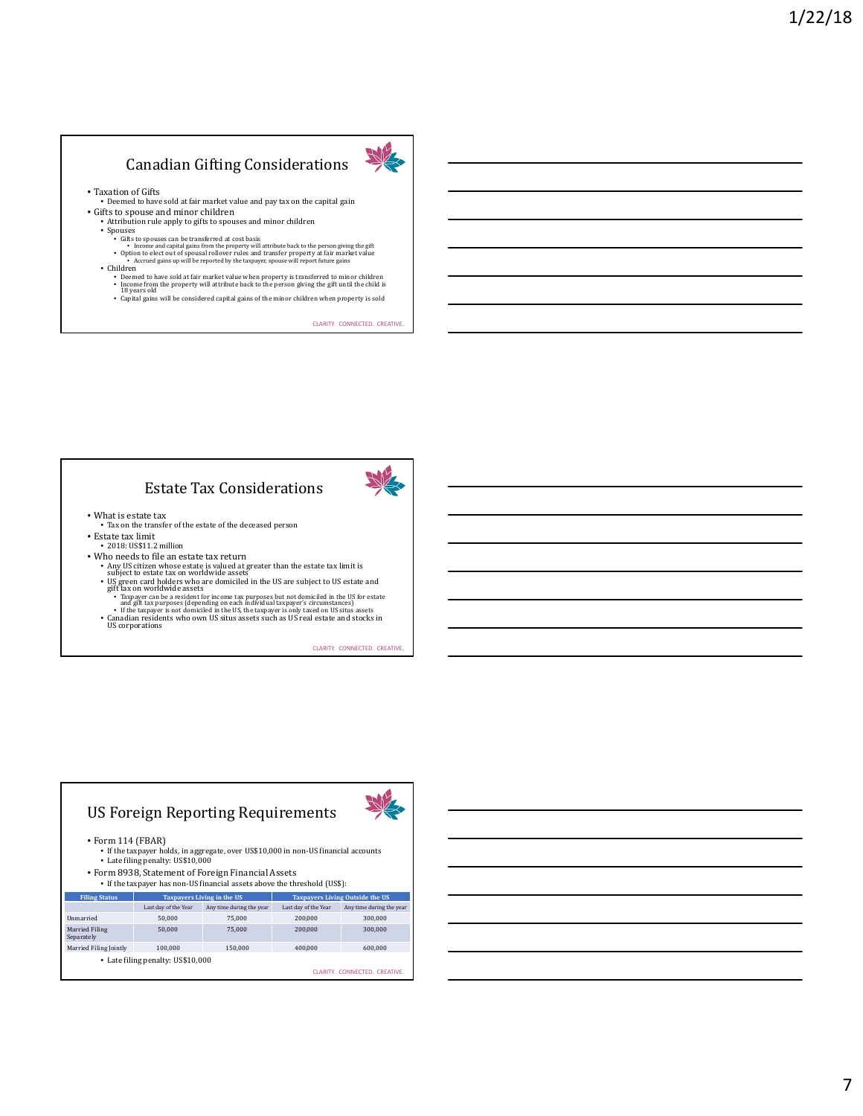## Canadian Gifting Considerations



• Taxation of Gifts • Deemed to have sold at fair market value and pay tax on the capital gain

 $\bullet$  Gifts to spouse and minor children  $\bullet$  Attribution rule apply to gifts to spouses and minor children

- 
- 
- 
- 
- Attribution rule apply to gifts to spouses and minor children<br>
Spouses Comparent Spouses can be transferred at cost basis<br>
Gifts to spouses can be transferred at cost basis<br>
Thome and capital gains from the proper
	- Capital gains will be considered capital gains of the minor children when property is sold

CLARITY. CONNECTED. CREATIVE.

## Estate Tax Considerations



- What is estate tax Tax on the transfer of the estate of the deceased person • Estate tax limit
- 2018: US\$11.2 million
- 
- Who needs to file an estate tax return
	- Any US citizen whose estate is valued at greater than the estate tax limit is subject to estate tax on worldwide assets
	- US green card holders who are domiciled in the US are subject to US estate and gift tax on worldwide assets
	- Taxpayer can be a resident for income tax purposes but not domiciled in the US for estate and gift tax purposes (depending on each individual taxpayer's circumstances)<br>• If the taxpayer is not domiciled in the US, the ta
	-

CLARITY. CONNECTED. CREATIVE.

# US Foreign Reporting Requirements



• Form 114 (FBAR)

- If the taxpayer holds, in aggregate, over US\$10,000 in non-US financial accounts Late filing penalty: US\$10,000
- Form 8938, Statement of Foreign Financial Assets
- If the taxpayer has non-US financial assets above the threshold (US\$):

| <b>Filing Status</b>         |                                   | <b>Taxpayers Living in the US</b> |                      | <b>Taxpayers Living Outside the US</b> |
|------------------------------|-----------------------------------|-----------------------------------|----------------------|----------------------------------------|
|                              | Last day of the Year              | Any time during the year          | Last day of the Year | Any time during the year               |
| <b>Unmarried</b>             | 50.000                            | 75,000                            | 200.000              | 300,000                                |
| Married Filing<br>Separately | 50,000                            | 75.000                            | 200,000              | 300,000                                |
| Married Filing Jointly       | 100.000                           | 150.000                           | 400.000              | 600.000                                |
|                              | • Late filing penalty: US\$10,000 |                                   |                      |                                        |
|                              |                                   |                                   |                      | CLARITY, CONNECTED, CREATIVE.          |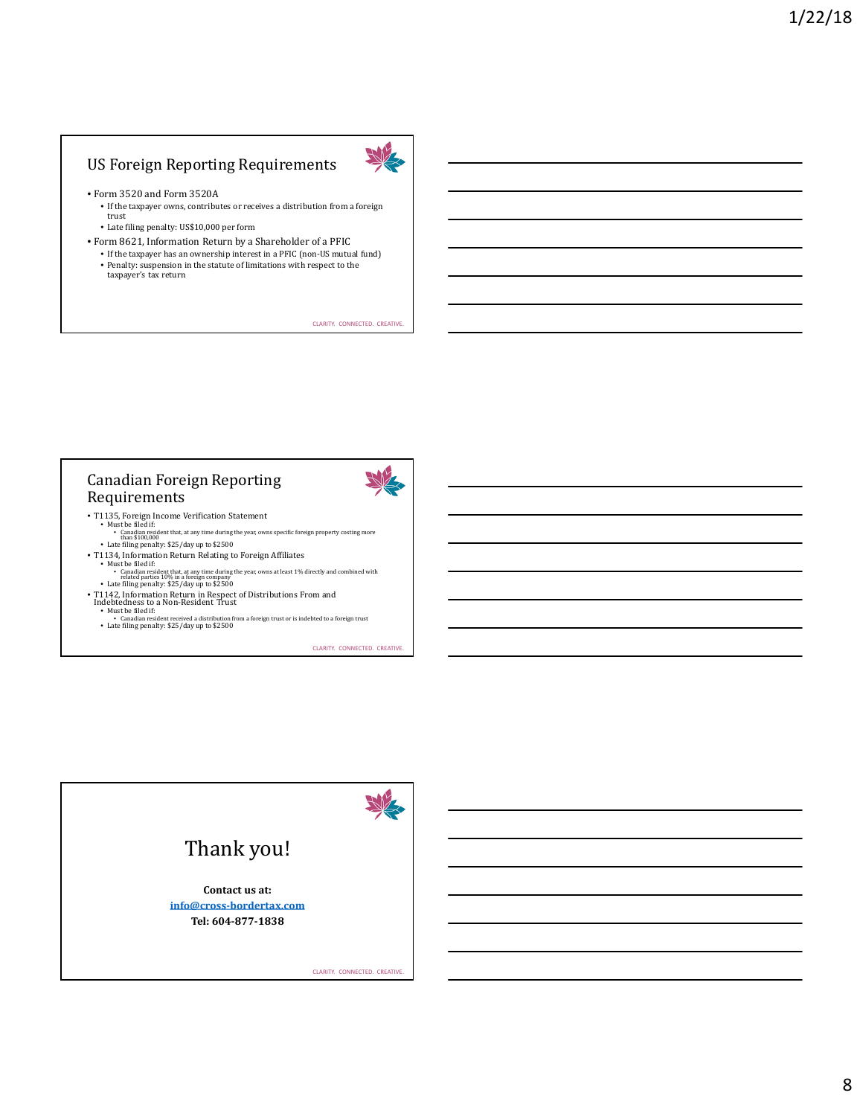## US Foreign Reporting Requirements



#### • Form 3520 and Form 3520A

- If the taxpayer owns, contributes or receives a distribution from a foreign trust
- Late filing penalty: US\$10,000 per form
- Form 8621, Information Return by a Shareholder of a PFIC
	- If the taxpayer has an ownership interest in a PFIC (non-US mutual fund)
	- Penalty: suspension in the statute of limitations with respect to the taxpayer's tax return

CLARITY. CONNECTED. CREATIVE.

## Canadian Foreign Reporting Requirements

- 
- T1135, Foreign Income Verification Statement<br>• Must be filed if:<br>• Canadian resident that, at any time during the year, owns specific foreign property costing more<br>than \$100,000
- Late filing penalty: \$25/day up to \$2500 T1134, Information Return Relating to Foreign Affiliates
- 
- Must be filed if:<br>• Canadian resident that, at any time during the year, owns at least 1% directly and combined with<br>• Late filing penalty: \$25/day up to \$2500<br>• Late filing penalty: \$25/day up to \$2500
- T1142, Information Return in Respect of Distributions From and Indebtedness to a Non-Resident Trust Must be filed if:
	-
	- Canadian resident received a distribution from a foreign trust or is indebted to a foreign trust Late filing penalty: \$25/day up to \$2500